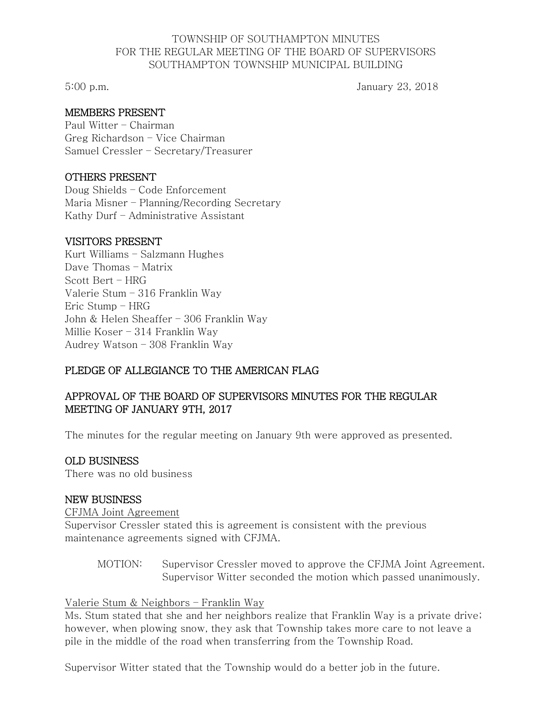### TOWNSHIP OF SOUTHAMPTON MINUTES FOR THE REGULAR MEETING OF THE BOARD OF SUPERVISORS SOUTHAMPTON TOWNSHIP MUNICIPAL BUILDING

5:00 p.m. January 23, 2018

# MEMBERS PRESENT

Paul Witter – Chairman Greg Richardson – Vice Chairman Samuel Cressler – Secretary/Treasurer

### OTHERS PRESENT

Doug Shields – Code Enforcement Maria Misner – Planning/Recording Secretary Kathy Durf – Administrative Assistant

### VISITORS PRESENT

Kurt Williams – Salzmann Hughes Dave Thomas – Matrix Scott Bert – HRG Valerie Stum – 316 Franklin Way Eric Stump – HRG John & Helen Sheaffer – 306 Franklin Way Millie Koser – 314 Franklin Way Audrey Watson – 308 Franklin Way

# PLEDGE OF ALLEGIANCE TO THE AMERICAN FLAG

# APPROVAL OF THE BOARD OF SUPERVISORS MINUTES FOR THE REGULAR MEETING OF JANUARY 9TH, 2017

The minutes for the regular meeting on January 9th were approved as presented.

# OLD BUSINESS

There was no old business

#### NEW BUSINESS

#### CFJMA Joint Agreement

Supervisor Cressler stated this is agreement is consistent with the previous maintenance agreements signed with CFJMA.

MOTION: Supervisor Cressler moved to approve the CFJMA Joint Agreement. Supervisor Witter seconded the motion which passed unanimously.

#### Valerie Stum & Neighbors – Franklin Way

Ms. Stum stated that she and her neighbors realize that Franklin Way is a private drive; however, when plowing snow, they ask that Township takes more care to not leave a pile in the middle of the road when transferring from the Township Road.

Supervisor Witter stated that the Township would do a better job in the future.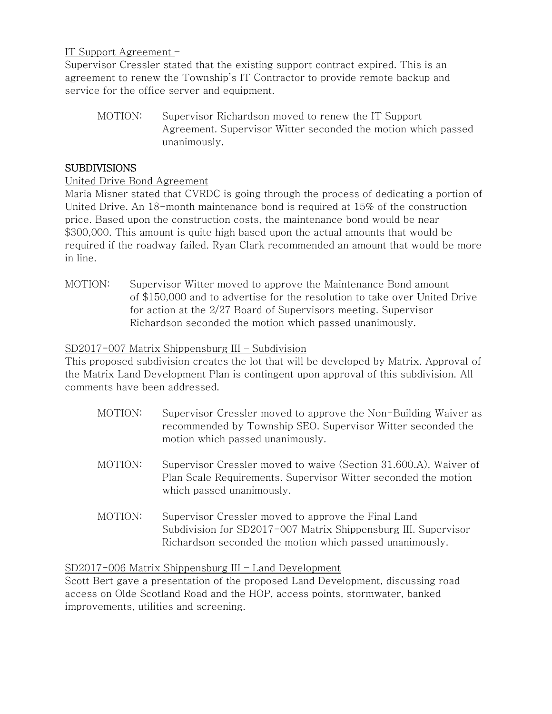IT Support Agreement –

Supervisor Cressler stated that the existing support contract expired. This is an agreement to renew the Township's IT Contractor to provide remote backup and service for the office server and equipment.

MOTION: Supervisor Richardson moved to renew the IT Support Agreement. Supervisor Witter seconded the motion which passed unanimously.

# SUBDIVISIONS

### United Drive Bond Agreement

Maria Misner stated that CVRDC is going through the process of dedicating a portion of United Drive. An 18-month maintenance bond is required at 15% of the construction price. Based upon the construction costs, the maintenance bond would be near \$300,000. This amount is quite high based upon the actual amounts that would be required if the roadway failed. Ryan Clark recommended an amount that would be more in line.

MOTION: Supervisor Witter moved to approve the Maintenance Bond amount of \$150,000 and to advertise for the resolution to take over United Drive for action at the 2/27 Board of Supervisors meeting. Supervisor Richardson seconded the motion which passed unanimously.

### SD2017-007 Matrix Shippensburg III – Subdivision

This proposed subdivision creates the lot that will be developed by Matrix. Approval of the Matrix Land Development Plan is contingent upon approval of this subdivision. All comments have been addressed.

- MOTION: Supervisor Cressler moved to approve the Non-Building Waiver as recommended by Township SEO. Supervisor Witter seconded the motion which passed unanimously.
- MOTION: Supervisor Cressler moved to waive (Section 31.600.A), Waiver of Plan Scale Requirements. Supervisor Witter seconded the motion which passed unanimously.
- MOTION: Supervisor Cressler moved to approve the Final Land Subdivision for SD2017-007 Matrix Shippensburg III. Supervisor Richardson seconded the motion which passed unanimously.

# SD2017-006 Matrix Shippensburg III – Land Development

Scott Bert gave a presentation of the proposed Land Development, discussing road access on Olde Scotland Road and the HOP, access points, stormwater, banked improvements, utilities and screening.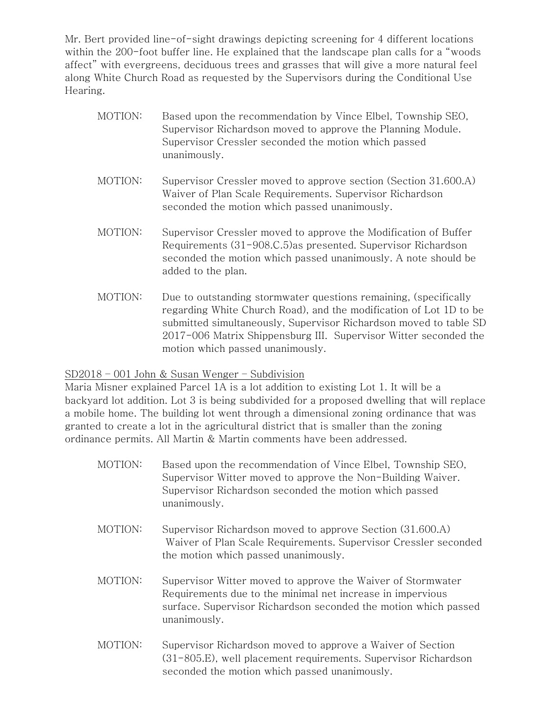Mr. Bert provided line-of-sight drawings depicting screening for 4 different locations within the 200-foot buffer line. He explained that the landscape plan calls for a "woods affect" with evergreens, deciduous trees and grasses that will give a more natural feel along White Church Road as requested by the Supervisors during the Conditional Use Hearing.

- MOTION: Based upon the recommendation by Vince Elbel, Township SEO, Supervisor Richardson moved to approve the Planning Module. Supervisor Cressler seconded the motion which passed unanimously.
- MOTION: Supervisor Cressler moved to approve section (Section 31.600.A) Waiver of Plan Scale Requirements. Supervisor Richardson seconded the motion which passed unanimously.
- MOTION: Supervisor Cressler moved to approve the Modification of Buffer Requirements (31-908.C.5)as presented. Supervisor Richardson seconded the motion which passed unanimously. A note should be added to the plan.
- MOTION: Due to outstanding stormwater questions remaining, (specifically regarding White Church Road), and the modification of Lot 1D to be submitted simultaneously, Supervisor Richardson moved to table SD 2017-006 Matrix Shippensburg III. Supervisor Witter seconded the motion which passed unanimously.

# SD2018 – 001 John & Susan Wenger – Subdivision

Maria Misner explained Parcel 1A is a lot addition to existing Lot 1. It will be a backyard lot addition. Lot 3 is being subdivided for a proposed dwelling that will replace a mobile home. The building lot went through a dimensional zoning ordinance that was granted to create a lot in the agricultural district that is smaller than the zoning ordinance permits. All Martin & Martin comments have been addressed.

- MOTION: Based upon the recommendation of Vince Elbel, Township SEO, Supervisor Witter moved to approve the Non-Building Waiver. Supervisor Richardson seconded the motion which passed unanimously.
- MOTION: Supervisor Richardson moved to approve Section (31.600.A) Waiver of Plan Scale Requirements. Supervisor Cressler seconded the motion which passed unanimously.
- MOTION: Supervisor Witter moved to approve the Waiver of Stormwater Requirements due to the minimal net increase in impervious surface. Supervisor Richardson seconded the motion which passed unanimously.
- MOTION: Supervisor Richardson moved to approve a Waiver of Section (31-805.E), well placement requirements. Supervisor Richardson seconded the motion which passed unanimously.